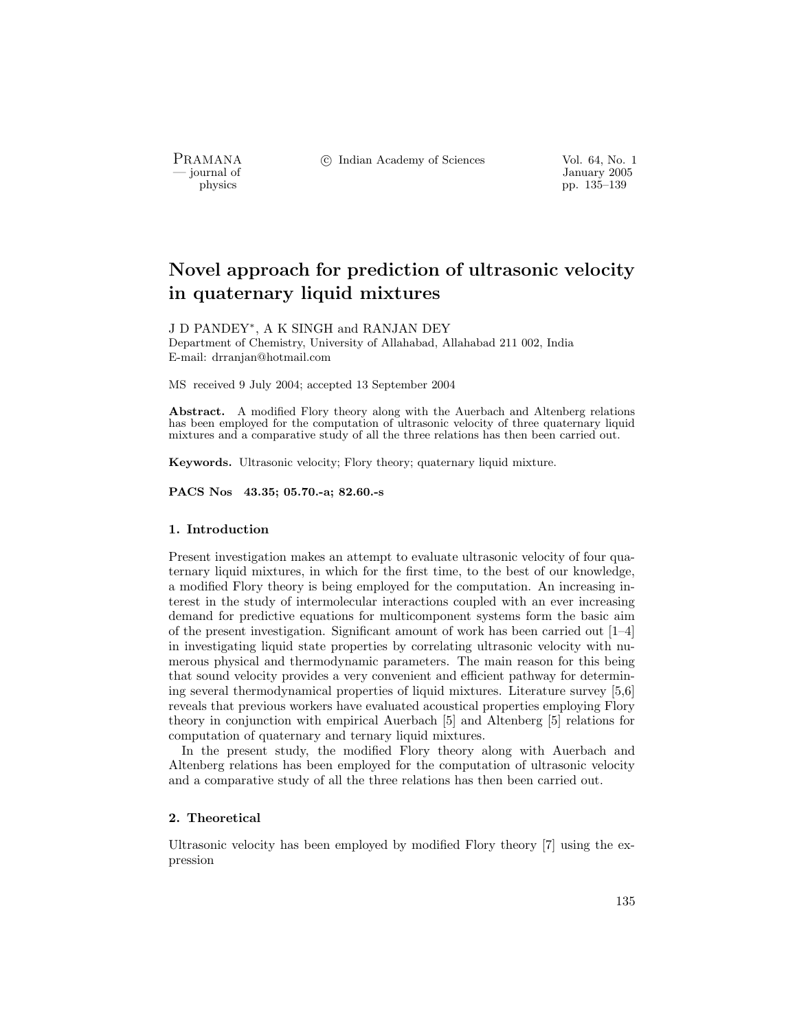PRAMANA °<sup>c</sup> Indian Academy of Sciences Vol. 64, No. 1

January 2005<br>
physics physics physics produced by the USD physics produced by the USD physics produced by the USD physics produced by the USD physics produced by the USD physics produced by the USD physics produced by the pp. 135–139

# Novel approach for prediction of ultrasonic velocity in quaternary liquid mixtures

### J D PANDEY<sup>∗</sup>, A K SINGH and RANJAN DEY

Department of Chemistry, University of Allahabad, Allahabad 211 002, India E-mail: drranjan@hotmail.com

MS received 9 July 2004; accepted 13 September 2004

Abstract. A modified Flory theory along with the Auerbach and Altenberg relations has been employed for the computation of ultrasonic velocity of three quaternary liquid mixtures and a comparative study of all the three relations has then been carried out.

Keywords. Ultrasonic velocity; Flory theory; quaternary liquid mixture.

PACS Nos 43.35; 05.70.-a; 82.60.-s

#### 1. Introduction

Present investigation makes an attempt to evaluate ultrasonic velocity of four quaternary liquid mixtures, in which for the first time, to the best of our knowledge, a modified Flory theory is being employed for the computation. An increasing interest in the study of intermolecular interactions coupled with an ever increasing demand for predictive equations for multicomponent systems form the basic aim of the present investigation. Significant amount of work has been carried out  $[1-4]$ in investigating liquid state properties by correlating ultrasonic velocity with numerous physical and thermodynamic parameters. The main reason for this being that sound velocity provides a very convenient and efficient pathway for determining several thermodynamical properties of liquid mixtures. Literature survey [5,6] reveals that previous workers have evaluated acoustical properties employing Flory theory in conjunction with empirical Auerbach [5] and Altenberg [5] relations for computation of quaternary and ternary liquid mixtures.

In the present study, the modified Flory theory along with Auerbach and Altenberg relations has been employed for the computation of ultrasonic velocity and a comparative study of all the three relations has then been carried out.

#### 2. Theoretical

Ultrasonic velocity has been employed by modified Flory theory [7] using the expression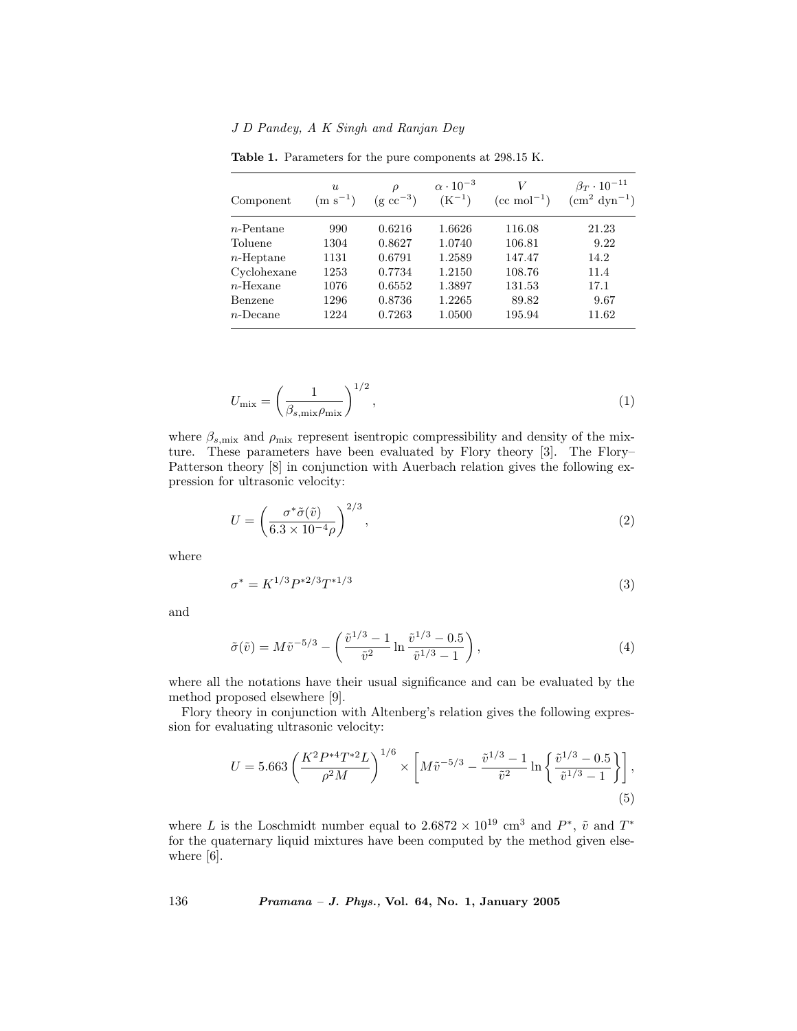J D Pandey, A K Singh and Ranjan Dey

| Component    | $\boldsymbol{u}$<br>$(m s^{-1})$ | $\rho$<br>$(g \text{ cc}^{-3})$ | $\alpha \cdot 10^{-3}$<br>$(K^{-1})$ | $(cc \text{ mol}^{-1})$ | $\beta_T \cdot 10^{-11}$<br>$\rm (cm^2\ dyn^{-1})$ |
|--------------|----------------------------------|---------------------------------|--------------------------------------|-------------------------|----------------------------------------------------|
| $n$ -Pentane | 990                              | 0.6216                          | 1.6626                               | 116.08                  | 21.23                                              |
| Toluene      | 1304                             | 0.8627                          | 1.0740                               | 106.81                  | 9.22                                               |
| $n$ -Heptane | 1131                             | 0.6791                          | 1.2589                               | 147.47                  | 14.2                                               |
| Cyclohexane  | 1253                             | 0.7734                          | 1.2150                               | 108.76                  | 11.4                                               |
| $n$ -Hexane  | 1076                             | 0.6552                          | 1.3897                               | 131.53                  | 17.1                                               |
| Benzene      | 1296                             | 0.8736                          | 1.2265                               | 89.82                   | 9.67                                               |
| $n$ -Decane  | 1224                             | 0.7263                          | 1.0500                               | 195.94                  | 11.62                                              |

Table 1. Parameters for the pure components at 298.15 K.

$$
U_{\text{mix}} = \left(\frac{1}{\beta_{s,\text{mix}}\rho_{\text{mix}}}\right)^{1/2},\tag{1}
$$

where  $\beta_{s,\text{mix}}$  and  $\rho_{\text{mix}}$  represent isentropic compressibility and density of the mixture. These parameters have been evaluated by Flory theory [3]. The Flory– Patterson theory [8] in conjunction with Auerbach relation gives the following expression for ultrasonic velocity:

$$
U = \left(\frac{\sigma^* \tilde{\sigma}(\tilde{v})}{6.3 \times 10^{-4} \rho}\right)^{2/3},\tag{2}
$$

where

$$
\sigma^* = K^{1/3} P^{*2/3} T^{*1/3} \tag{3}
$$

and

$$
\tilde{\sigma}(\tilde{v}) = M\tilde{v}^{-5/3} - \left(\frac{\tilde{v}^{1/3} - 1}{\tilde{v}^2} \ln \frac{\tilde{v}^{1/3} - 0.5}{\tilde{v}^{1/3} - 1}\right),\tag{4}
$$

where all the notations have their usual significance and can be evaluated by the method proposed elsewhere [9].

Flory theory in conjunction with Altenberg's relation gives the following expression for evaluating ultrasonic velocity:

$$
U = 5.663 \left( \frac{K^2 P^{*4} T^{*2} L}{\rho^2 M} \right)^{1/6} \times \left[ M \tilde{v}^{-5/3} - \frac{\tilde{v}^{1/3} - 1}{\tilde{v}^2} \ln \left\{ \frac{\tilde{v}^{1/3} - 0.5}{\tilde{v}^{1/3} - 1} \right\} \right],
$$
\n(5)

where L is the Loschmidt number equal to  $2.6872 \times 10^{19}$  cm<sup>3</sup> and  $P^*$ ,  $\tilde{v}$  and  $T^*$ for the quaternary liquid mixtures have been computed by the method given elsewhere [6].

136 Pramana – J. Phys., Vol. 64, No. 1, January 2005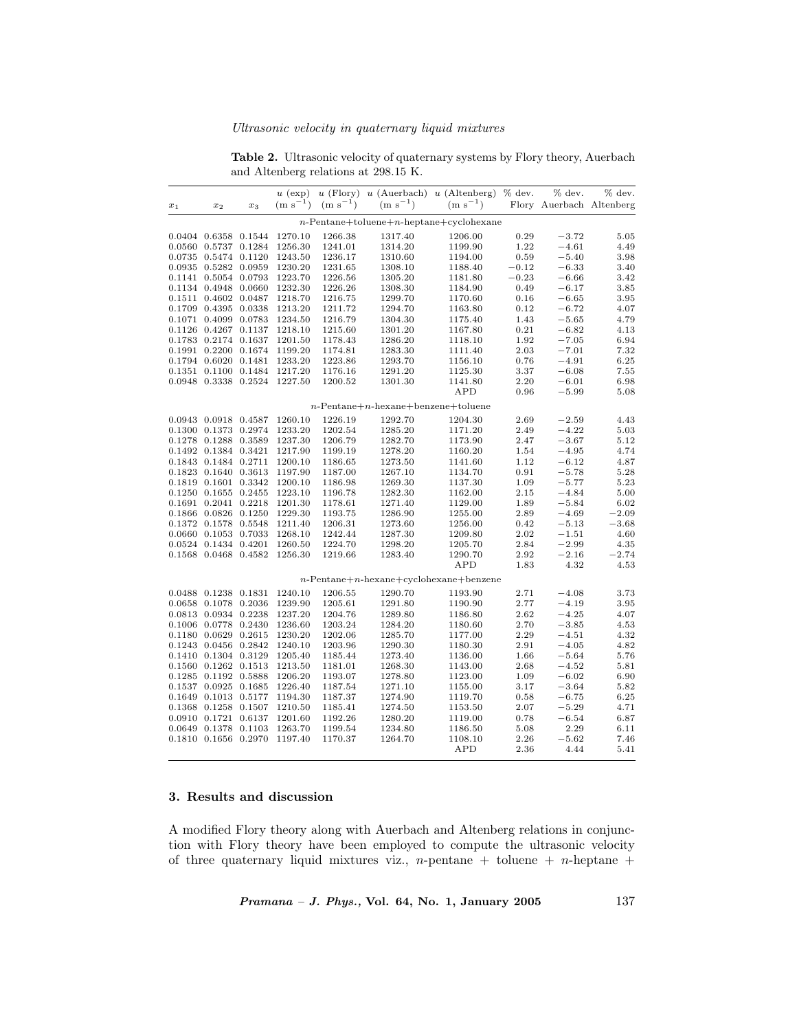Ultrasonic velocity in quaternary liquid mixtures

Table 2. Ultrasonic velocity of quaternary systems by Flory theory, Auerbach and Altenberg relations at 298.15 K.

|                                            |                            |       | $u$ (exp)    |           |                                       | $u$ (Flory) $u$ (Auerbach) $u$ (Altenberg) % dev. |         | % dev.    | % dev.                   |  |  |  |
|--------------------------------------------|----------------------------|-------|--------------|-----------|---------------------------------------|---------------------------------------------------|---------|-----------|--------------------------|--|--|--|
| $x_{\rm 1}$                                | $x_2$                      | $x_3$ | $(m s^{-1})$ | $(m s-1)$ | $(m s^{-1})$                          | $(m s^{-1})$                                      |         |           | Flory Auerbach Altenberg |  |  |  |
| $n$ -Pentane+toluene+n-heptane+cyclohexane |                            |       |              |           |                                       |                                                   |         |           |                          |  |  |  |
|                                            | 0.0404 0.6358 0.1544       |       | 1270.10      | 1266.38   | 1317.40                               | 1206.00                                           | 0.29    | $-3.72$   | 5.05                     |  |  |  |
|                                            | 0.0560 0.5737 0.1284       |       | 1256.30      | 1241.01   | 1314.20                               | 1199.90                                           | 1.22    | $-4.61$   | 4.49                     |  |  |  |
|                                            | 0.0735 0.5474 0.1120       |       | 1243.50      | 1236.17   | 1310.60                               | 1194.00                                           | 0.59    | $-5.40$   | 3.98                     |  |  |  |
|                                            | 0.0935 0.5282 0.0959       |       | 1230.20      | 1231.65   | 1308.10                               | 1188.40                                           | $-0.12$ | $-6.33$   | 3.40                     |  |  |  |
|                                            | 0.1141 0.5054 0.0793       |       | 1223.70      | 1226.56   | 1305.20                               | 1181.80                                           | $-0.23$ | $-6.66$   | 3.42                     |  |  |  |
|                                            | 0.1134 0.4948 0.0660       |       | 1232.30      | 1226.26   | 1308.30                               | 1184.90                                           | 0.49    | $-6.17$   | 3.85                     |  |  |  |
|                                            | 0.1511 0.4602 0.0487       |       | 1218.70      | 1216.75   | 1299.70                               | 1170.60                                           | 0.16    | $-6.65$   | 3.95                     |  |  |  |
|                                            | 0.1709 0.4395 0.0338       |       | 1213.20      | 1211.72   | 1294.70                               | 1163.80                                           | 0.12    | $-6.72$   | 4.07                     |  |  |  |
|                                            | $0.1071$ $0.4099$ $0.0783$ |       | 1234.50      | 1216.79   | 1304.30                               | 1175.40                                           | 1.43    | $-5.65$   | 4.79                     |  |  |  |
|                                            | 0.1126 0.4267 0.1137       |       | 1218.10      | 1215.60   | 1301.20                               | 1167.80                                           | 0.21    | $-6.82$   | 4.13                     |  |  |  |
|                                            | 0.1783 0.2174 0.1637       |       | 1201.50      | 1178.43   | 1286.20                               | 1118.10                                           | 1.92    | $-7.05$   | 6.94                     |  |  |  |
|                                            | 0.1991 0.2200 0.1674       |       | 1199.20      | 1174.81   | 1283.30                               | 1111.40                                           | 2.03    | $-7.01$   | 7.32                     |  |  |  |
|                                            | 0.1794 0.6020 0.1481       |       | 1233.20      | 1223.86   | 1293.70                               | 1156.10                                           | 0.76    | $-4.91$   | 6.25                     |  |  |  |
|                                            | 0.1351 0.1100 0.1484       |       | 1217.20      | 1176.16   | 1291.20                               | 1125.30                                           | 3.37    | $-6.08$   | 7.55                     |  |  |  |
|                                            | 0.0948 0.3338 0.2524       |       | 1227.50      | 1200.52   | 1301.30                               | 1141.80                                           | 2.20    | $-6.01$   | 6.98                     |  |  |  |
|                                            |                            |       |              |           |                                       | <b>APD</b>                                        | 0.96    | $-5.99$   | 5.08                     |  |  |  |
|                                            |                            |       |              |           | $n$ -Pentane+n-hexane+benzene+toluene |                                                   |         |           |                          |  |  |  |
|                                            | 0.0943 0.0918 0.4587       |       | 1260.10      | 1226.19   | 1292.70                               | 1204.30                                           | 2.69    | $-2.59\,$ | 4.43                     |  |  |  |
|                                            | 0.1300 0.1373 0.2974       |       | 1233.20      | 1202.54   | 1285.20                               | 1171.20                                           | 2.49    | $-4.22$   | 5.03                     |  |  |  |
|                                            | $0.1278$ $0.1288$ $0.3589$ |       | 1237.30      | 1206.79   | 1282.70                               | 1173.90                                           | 2.47    | $-3.67$   | 5.12                     |  |  |  |
|                                            | 0.1492 0.1384 0.3421       |       | 1217.90      | 1199.19   | 1278.20                               | 1160.20                                           | 1.54    | $-4.95$   | 4.74                     |  |  |  |
|                                            | 0.1843 0.1484 0.2711       |       | 1200.10      | 1186.65   | 1273.50                               | 1141.60                                           | 1.12    | $-6.12$   | 4.87                     |  |  |  |
|                                            | 0.1823 0.1640 0.3613       |       | 1197.90      | 1187.00   | 1267.10                               | 1134.70                                           | 0.91    | $-5.78$   | 5.28                     |  |  |  |
|                                            | 0.1819 0.1601 0.3342       |       | 1200.10      | 1186.98   | 1269.30                               | 1137.30                                           | 1.09    | $-5.77$   | 5.23                     |  |  |  |
|                                            | 0.1250 0.1655 0.2455       |       | 1223.10      | 1196.78   | 1282.30                               | 1162.00                                           | 2.15    | $-4.84$   | 5.00                     |  |  |  |
|                                            | 0.1691 0.2041 0.2218       |       | 1201.30      | 1178.61   | 1271.40                               | 1129.00                                           | 1.89    | $-5.84$   | 6.02                     |  |  |  |
|                                            | 0.1866 0.0826 0.1250       |       | 1229.30      | 1193.75   | 1286.90                               | 1255.00                                           | 2.89    | $-4.69$   | $-2.09$                  |  |  |  |
|                                            | 0.1372 0.1578 0.5548       |       | 1211.40      | 1206.31   | 1273.60                               | 1256.00                                           | 0.42    | $-5.13$   | $-3.68$                  |  |  |  |
|                                            | 0.0660 0.1053 0.7033       |       | 1268.10      | 1242.44   | 1287.30                               | 1209.80                                           | 2.02    | $-1.51$   | 4.60                     |  |  |  |
|                                            | 0.0524 0.1434 0.4201       |       | 1260.50      | 1224.70   | 1298.20                               | 1205.70                                           | 2.84    | $-2.99$   | 4.35                     |  |  |  |
|                                            | 0.1568 0.0468 0.4582       |       | 1256.30      | 1219.66   | 1283.40                               | 1290.70                                           | 2.92    | $-2.16$   | $-2.74$                  |  |  |  |
|                                            |                            |       |              |           |                                       | <b>APD</b>                                        | 1.83    | 4.32      | 4.53                     |  |  |  |
|                                            |                            |       |              |           |                                       | $n$ -Pentane+n-hexane+cyclohexane+benzene         |         |           |                          |  |  |  |
|                                            | $0.0488$ $0.1238$ $0.1831$ |       | 1240.10      | 1206.55   | 1290.70                               | 1193.90                                           | 2.71    | $-4.08$   | 3.73                     |  |  |  |
|                                            | 0.0658 0.1078 0.2036       |       | 1239.90      | 1205.61   | 1291.80                               | 1190.90                                           | 2.77    | $-4.19$   | 3.95                     |  |  |  |
|                                            | 0.0813 0.0934 0.2238       |       | 1237.20      | 1204.76   | 1289.80                               | 1186.80                                           | 2.62    | $-4.25$   | 4.07                     |  |  |  |
|                                            | 0.1006 0.0778 0.2430       |       | 1236.60      | 1203.24   | 1284.20                               | 1180.60                                           | 2.70    | $-3.85$   | 4.53                     |  |  |  |
|                                            | 0.1180 0.0629 0.2615       |       | 1230.20      | 1202.06   | 1285.70                               | 1177.00                                           | 2.29    | $-4.51$   | 4.32                     |  |  |  |
|                                            | 0.1243 0.0456 0.2842       |       | 1240.10      | 1203.96   | 1290.30                               | 1180.30                                           | 2.91    | $-4.05$   | 4.82                     |  |  |  |
|                                            | $0.1410$ $0.1304$ $0.3129$ |       | 1205.40      | 1185.44   | 1273.40                               | 1136.00                                           | 1.66    | $-5.64$   | 5.76                     |  |  |  |
|                                            | 0.1560 0.1262 0.1513       |       | 1213.50      | 1181.01   | 1268.30                               | 1143.00                                           | 2.68    | $-4.52$   | 5.81                     |  |  |  |
|                                            | 0.1285 0.1192 0.5888       |       | 1206.20      | 1193.07   | 1278.80                               | 1123.00                                           | 1.09    | $-6.02$   | 6.90                     |  |  |  |
|                                            | 0.1537 0.0925 0.1685       |       | 1226.40      | 1187.54   | 1271.10                               | 1155.00                                           | 3.17    | $-3.64$   | 5.82                     |  |  |  |
|                                            | 0.1649 0.1013 0.5177       |       | 1194.30      | 1187.37   | 1274.90                               | 1119.70                                           | 0.58    | $-6.75$   | 6.25                     |  |  |  |
|                                            | 0.1368 0.1258 0.1507       |       | 1210.50      | 1185.41   | 1274.50                               | 1153.50                                           | 2.07    | $-5.29$   | 4.71                     |  |  |  |
|                                            | 0.0910 0.1721 0.6137       |       | 1201.60      | 1192.26   | 1280.20                               | 1119.00                                           | 0.78    | $-6.54$   | 6.87                     |  |  |  |
|                                            | 0.0649 0.1378 0.1103       |       | 1263.70      | 1199.54   | 1234.80                               | 1186.50                                           | 5.08    | 2.29      | 6.11                     |  |  |  |
|                                            | 0.1810 0.1656 0.2970       |       | 1197.40      | 1170.37   | 1264.70                               | 1108.10                                           | 2.26    | $-5.62$   | 7.46                     |  |  |  |
|                                            |                            |       |              |           |                                       | <b>APD</b>                                        | 2.36    | 4.44      | 5.41                     |  |  |  |
|                                            |                            |       |              |           |                                       |                                                   |         |           |                          |  |  |  |

## 3. Results and discussion

A modified Flory theory along with Auerbach and Altenberg relations in conjunction with Flory theory have been employed to compute the ultrasonic velocity of three quaternary liquid mixtures viz.,  $n$ -pentane + toluene +  $n$ -heptane +

Pramana – J. Phys., Vol. 64, No. 1, January 2005 137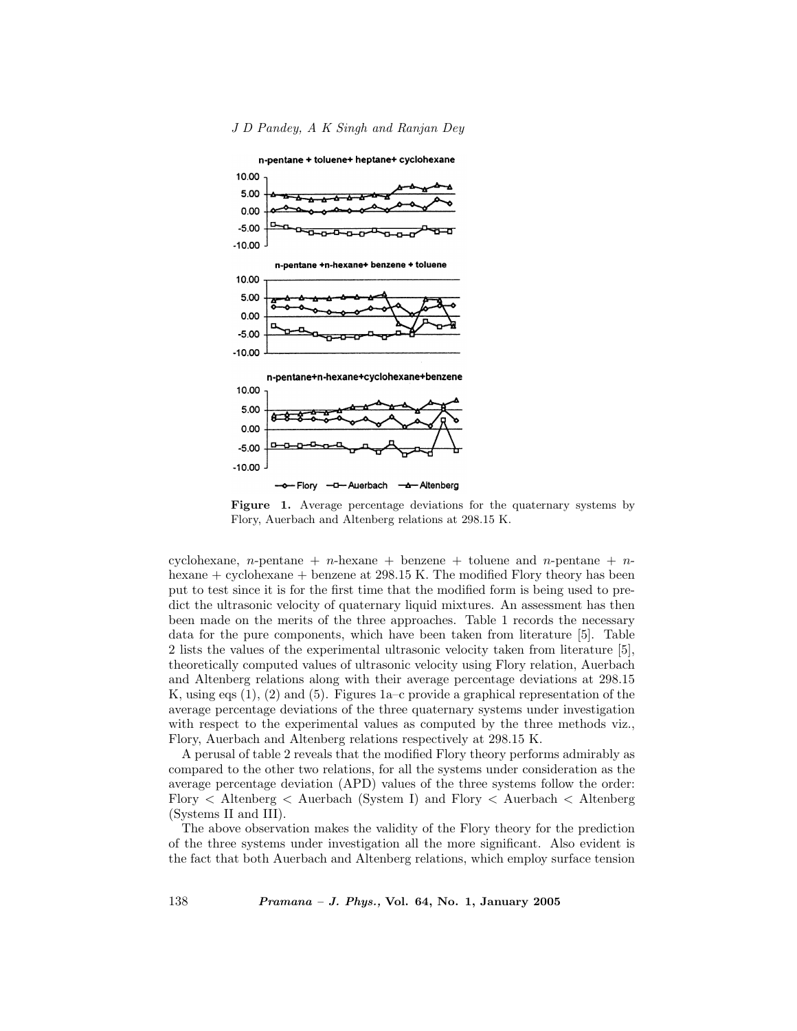

Figure 1. Average percentage deviations for the quaternary systems by Flory, Auerbach and Altenberg relations at 298.15 K.

cyclohexane, n-pentane + n-hexane + benzene + toluene and n-pentane + nhexane + cyclohexane + benzene at 298.15 K. The modified Flory theory has been put to test since it is for the first time that the modified form is being used to predict the ultrasonic velocity of quaternary liquid mixtures. An assessment has then been made on the merits of the three approaches. Table 1 records the necessary data for the pure components, which have been taken from literature [5]. Table 2 lists the values of the experimental ultrasonic velocity taken from literature [5], theoretically computed values of ultrasonic velocity using Flory relation, Auerbach and Altenberg relations along with their average percentage deviations at 298.15 K, using eqs (1), (2) and (5). Figures 1a–c provide a graphical representation of the average percentage deviations of the three quaternary systems under investigation with respect to the experimental values as computed by the three methods viz., Flory, Auerbach and Altenberg relations respectively at 298.15 K.

A perusal of table 2 reveals that the modified Flory theory performs admirably as compared to the other two relations, for all the systems under consideration as the average percentage deviation (APD) values of the three systems follow the order: Flory < Altenberg < Auerbach (System I) and Flory < Auerbach < Altenberg (Systems II and III).

The above observation makes the validity of the Flory theory for the prediction of the three systems under investigation all the more significant. Also evident is the fact that both Auerbach and Altenberg relations, which employ surface tension

138 Pramana – J. Phys., Vol. 64, No. 1, January 2005